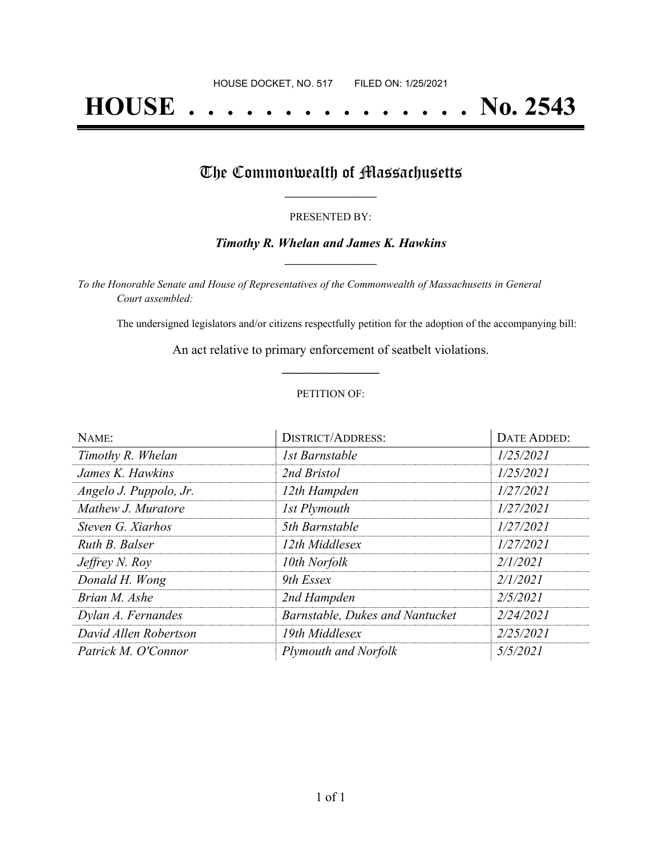# **HOUSE . . . . . . . . . . . . . . . No. 2543**

## The Commonwealth of Massachusetts

#### PRESENTED BY:

#### *Timothy R. Whelan and James K. Hawkins* **\_\_\_\_\_\_\_\_\_\_\_\_\_\_\_\_\_**

*To the Honorable Senate and House of Representatives of the Commonwealth of Massachusetts in General Court assembled:*

The undersigned legislators and/or citizens respectfully petition for the adoption of the accompanying bill:

An act relative to primary enforcement of seatbelt violations. **\_\_\_\_\_\_\_\_\_\_\_\_\_\_\_**

#### PETITION OF:

| NAME:                  | <b>DISTRICT/ADDRESS:</b>        | <b>DATE ADDED:</b> |  |
|------------------------|---------------------------------|--------------------|--|
| Timothy R. Whelan      | 1st Barnstable                  | 1/25/2021          |  |
| James K. Hawkins       | 2nd Bristol                     | 1/25/2021          |  |
| Angelo J. Puppolo, Jr. | 12th Hampden                    | 1/27/2021          |  |
| Mathew J. Muratore     | 1st Plymouth                    | 1/27/2021          |  |
| Steven G. Xiarhos      | 5th Barnstable                  | 1/27/2021          |  |
| Ruth B. Balser         | 12th Middlesex                  | 1/27/2021          |  |
| <i>Jeffrey N. Roy</i>  | 10th Norfolk                    | 2/1/2021           |  |
| Donald H. Wong         | 9th Essex                       | 2/1/2021           |  |
| Brian M. Ashe          | 2nd Hampden                     | 2/5/2021           |  |
| Dylan A. Fernandes     | Barnstable, Dukes and Nantucket | 2/24/2021          |  |
| David Allen Robertson  | 19th Middlesex                  | 2/25/2021          |  |
| Patrick M. O'Connor    | Plymouth and Norfolk            | 5/5/2021           |  |